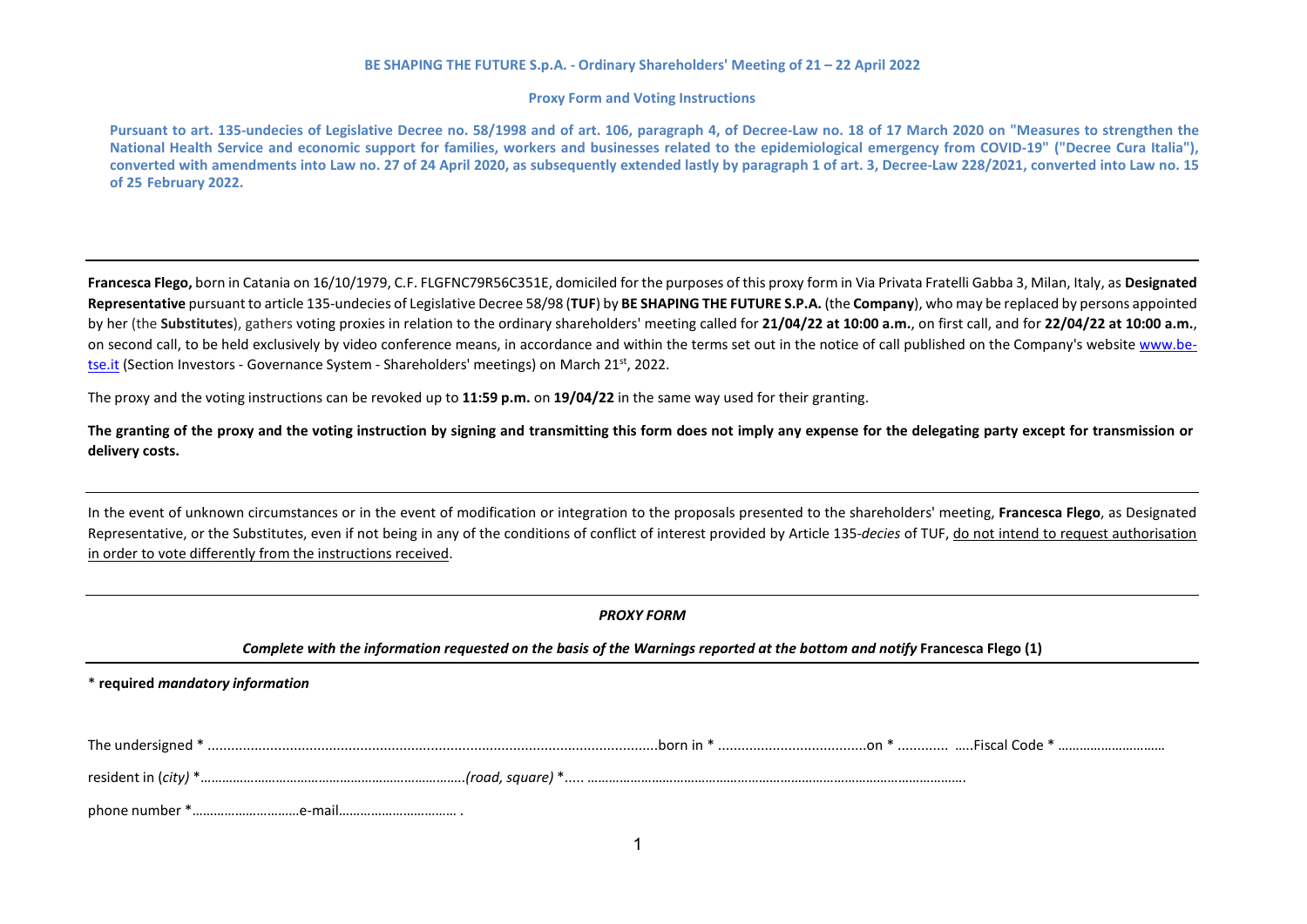#### **Proxy Form and Voting Instructions**

Pursuant to art. 135-undecies of Legislative Decree no. 58/1998 and of art. 106, paragraph 4, of Decree-Law no. 18 of 17 March 2020 on "Measures to strengthen the **National Health Service and economic support for families, workers and businesses related to the epidemiological emergency from COVID-19" ("Decree Cura Italia"), converted with amendments into Law no. 27 of 24 April 2020, as subsequently extended lastly by paragraph 1 of art. 3, Decree-Law 228/2021, converted into Law no. 15 of 25 February 2022.**

**Francesca Flego,** born in Catania on 16/10/1979, C.F. FLGFNC79R56C351E, domiciled for the purposes of this proxy form in Via Privata Fratelli Gabba 3, Milan, Italy, as **Designated Representative** pursuant to article 135-undecies of Legislative Decree 58/98 (**TUF**) by **BE SHAPING THE FUTURE S.P.A.** (the **Company**), who may be replaced by persons appointed by her (the **Substitutes**), gathers voting proxies in relation to the ordinary shareholders' meeting called for **21/04/22 at 10:00 a.m.**, on first call, and for **22/04/22 at 10:00 a.m.**, on second call, to be held exclusively by video conference means, in accordance and within the terms set out in the notice of call published on the Company's website [www.be](http://www.be-tse.it/)[tse.it](http://www.be-tse.it/) (Section Investors - Governance System - Shareholders' meetings) on March 21<sup>st</sup>, 2022.

The proxy and the voting instructions can be revoked up to **11:59 p.m.** on **19/04/22** in the same way used for their granting.

The granting of the proxy and the voting instruction by signing and transmitting this form does not imply any expense for the delegating party except for transmission or **delivery costs.**

In the event of unknown circumstances or in the event of modification or integration to the proposals presented to the shareholders' meeting, **Francesca Flego**, as Designated Representative, or the Substitutes, even if not being in any of the conditions of conflict of interest provided by Article 135-*decies* of TUF, do not intend to request authorisation in order to vote differently from the instructions received.

| <b>PROXY FORM</b>                                                                                                          |  |  |
|----------------------------------------------------------------------------------------------------------------------------|--|--|
| Complete with the information requested on the basis of the Warnings reported at the bottom and notify Francesca Flego (1) |  |  |
| * required mandatory information                                                                                           |  |  |
|                                                                                                                            |  |  |
|                                                                                                                            |  |  |
|                                                                                                                            |  |  |
|                                                                                                                            |  |  |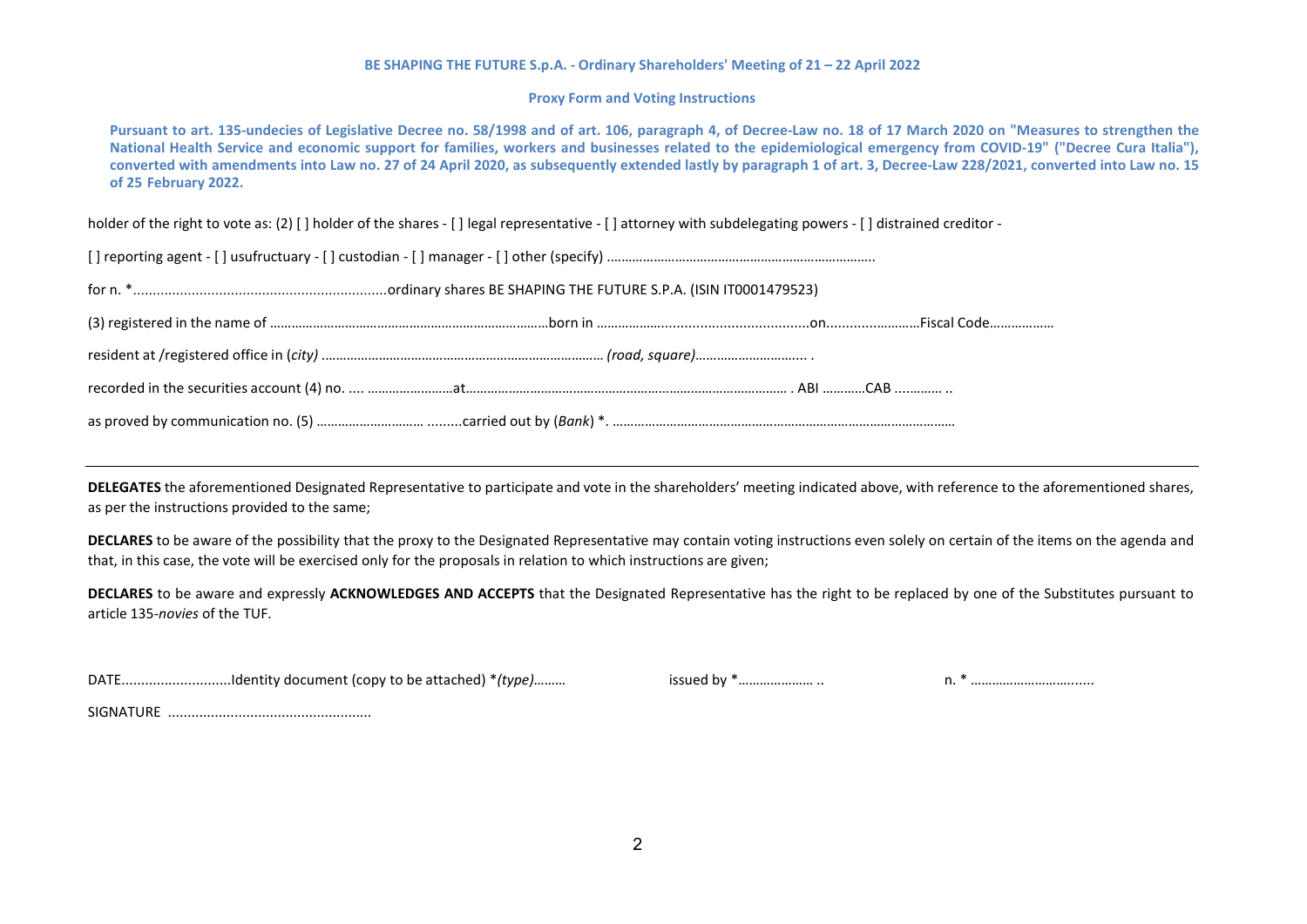## **Proxy Form and Voting Instructions**

Pursuant to art. 135-undecies of Legislative Decree no. 58/1998 and of art. 106, paragraph 4, of Decree-Law no. 18 of 17 March 2020 on "Measures to strengthen the **National Health Service and economic support for families, workers and businesses related to the epidemiological emergency from COVID-19" ("Decree Cura Italia"), converted with amendments into Law no. 27 of 24 April 2020, as subsequently extended lastly by paragraph 1 of art. 3, Decree-Law 228/2021, converted into Law no. 15 of 25 February 2022.**

holder of the right to vote as: (2) [] holder of the shares - [] legal representative - [] attorney with subdelegating powers - [] distrained creditor -

**DELEGATES** the aforementioned Designated Representative to participate and vote in the shareholders' meeting indicated above, with reference to the aforementioned shares, as per the instructions provided to the same;

**DECLARES** to be aware of the possibility that the proxy to the Designated Representative may contain voting instructions even solely on certain of the items on the agenda and that, in this case, the vote will be exercised only for the proposals in relation to which instructions are given;

**DECLARES** to be aware and expressly **ACKNOWLEDGES AND ACCEPTS** that the Designated Representative has the right to be replaced by one of the Substitutes pursuant to article 135-*novies* of the TUF.

DATE............................Identity document (copy to be attached) \**(type)………* issued by \*………………… .. n. \* ……………………….......

SIGNATURE ....................................................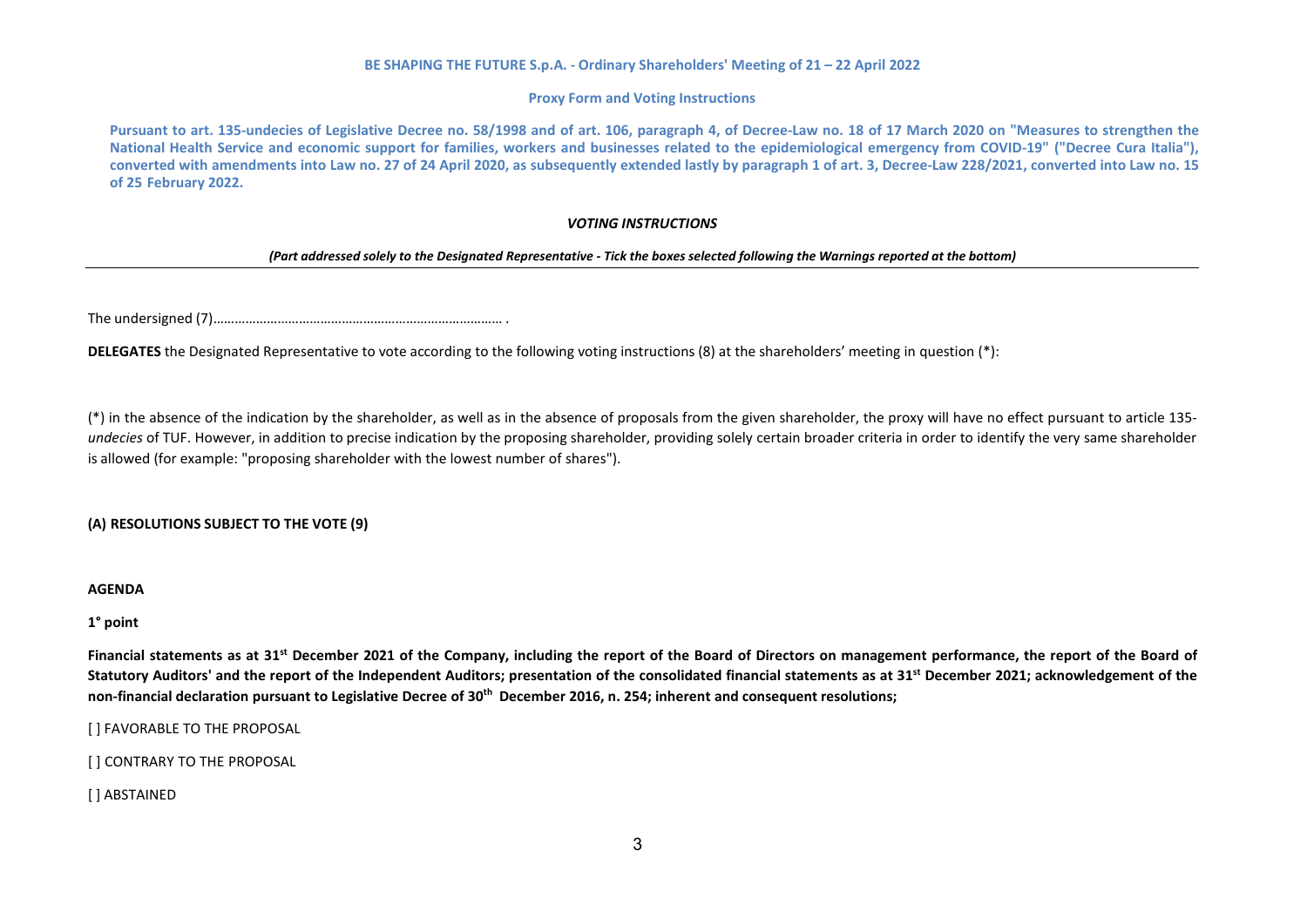## **Proxy Form and Voting Instructions**

Pursuant to art. 135-undecies of Legislative Decree no. 58/1998 and of art. 106, paragraph 4, of Decree-Law no. 18 of 17 March 2020 on "Measures to strengthen the **National Health Service and economic support for families, workers and businesses related to the epidemiological emergency from COVID-19" ("Decree Cura Italia"), converted with amendments into Law no. 27 of 24 April 2020, as subsequently extended lastly by paragraph 1 of art. 3, Decree-Law 228/2021, converted into Law no. 15 of 25 February 2022.**

## *VOTING INSTRUCTIONS*

## *(Part addressed solely to the Designated Representative - Tick the boxes selected following the Warnings reported at the bottom)*

The undersigned (7)……………………………………………………………………… .

**DELEGATES** the Designated Representative to vote according to the following voting instructions (8) at the shareholders' meeting in question (\*):

(\*) in the absence of the indication by the shareholder, as well as in the absence of proposals from the given shareholder, the proxy will have no effect pursuant to article 135 *undecies* of TUF. However, in addition to precise indication by the proposing shareholder, providing solely certain broader criteria in order to identify the very same shareholder is allowed (for example: "proposing shareholder with the lowest number of shares").

# **(A) RESOLUTIONS SUBJECT TO THE VOTE (9)**

**AGENDA**

**1° point**

**Financial statements as at 31st December 2021 of the Company, including the report of the Board of Directors on management performance, the report of the Board of Statutory Auditors' and the report of the Independent Auditors; presentation of the consolidated financial statements as at 31st December 2021; acknowledgement of the** non-financial declaration pursuant to Legislative Decree of 30<sup>th</sup> December 2016, n. 254; inherent and consequent resolutions;

[ ] FAVORABLE TO THE PROPOSAL

[ ] CONTRARY TO THE PROPOSAL

[ ] ABSTAINED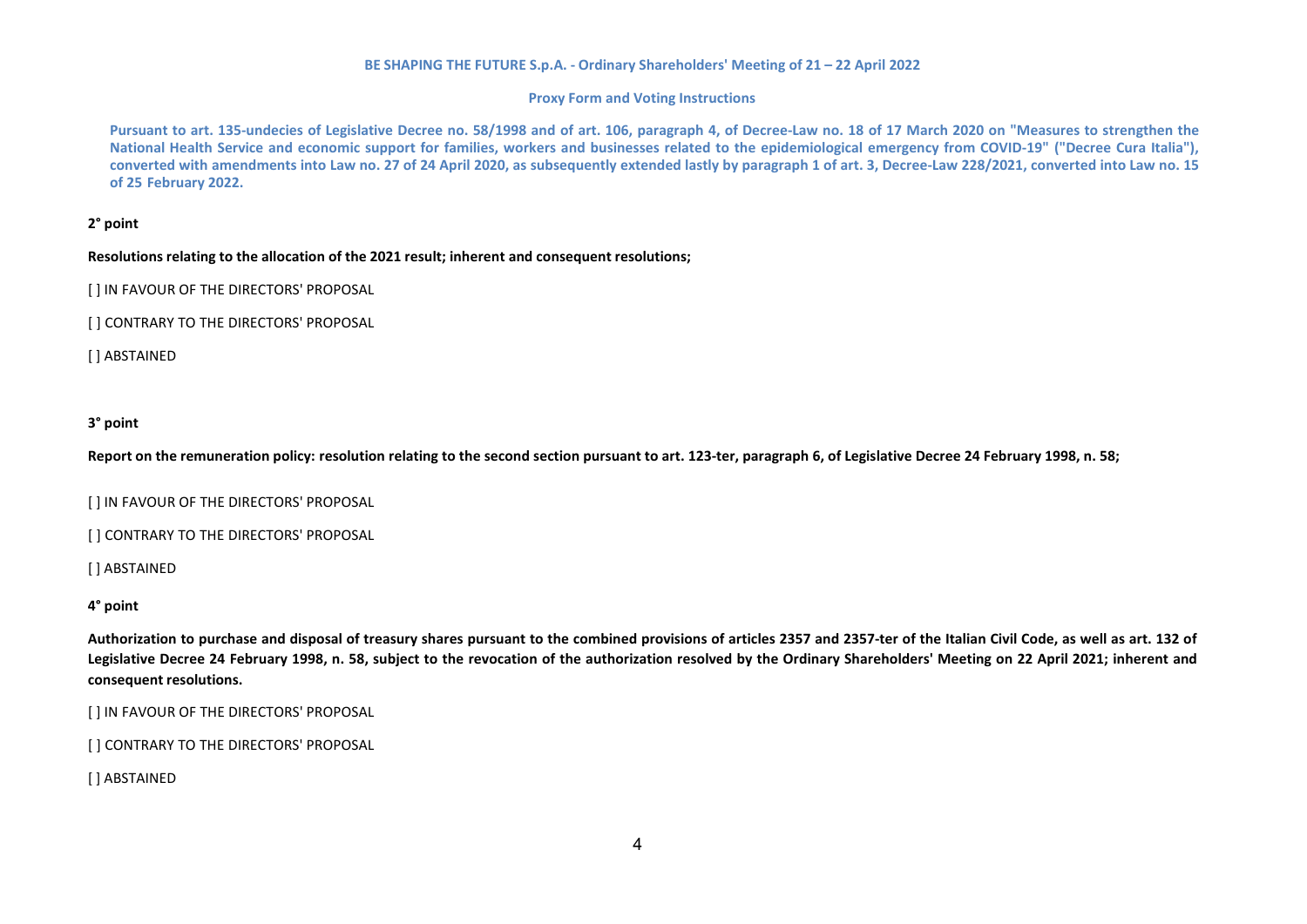## **Proxy Form and Voting Instructions**

Pursuant to art. 135-undecies of Legislative Decree no. 58/1998 and of art. 106, paragraph 4, of Decree-Law no. 18 of 17 March 2020 on "Measures to strengthen the **National Health Service and economic support for families, workers and businesses related to the epidemiological emergency from COVID-19" ("Decree Cura Italia"), converted with amendments into Law no. 27 of 24 April 2020, as subsequently extended lastly by paragraph 1 of art. 3, Decree-Law 228/2021, converted into Law no. 15 of 25 February 2022.**

# **2° point**

## **Resolutions relating to the allocation of the 2021 result; inherent and consequent resolutions;**

[ ] IN FAVOUR OF THE DIRECTORS' PROPOSAL

[ ] CONTRARY TO THE DIRECTORS' PROPOSAL

[ ] ABSTAINED

# **3° point**

**Report on the remuneration policy: resolution relating to the second section pursuant to art. 123-ter, paragraph 6, of Legislative Decree 24 February 1998, n. 58;**

[ ] IN FAVOUR OF THE DIRECTORS' PROPOSAL

[] CONTRARY TO THE DIRECTORS' PROPOSAL

[ ] ABSTAINED

# **4° point**

**Authorization to purchase and disposal of treasury shares pursuant to the combined provisions of articles 2357 and 2357-ter of the Italian Civil Code, as well as art. 132 of Legislative Decree 24 February 1998, n. 58, subject to the revocation of the authorization resolved by the Ordinary Shareholders' Meeting on 22 April 2021; inherent and consequent resolutions.**

[ ] IN FAVOUR OF THE DIRECTORS' PROPOSAL

[ ] CONTRARY TO THE DIRECTORS' PROPOSAL

[ ] ABSTAINED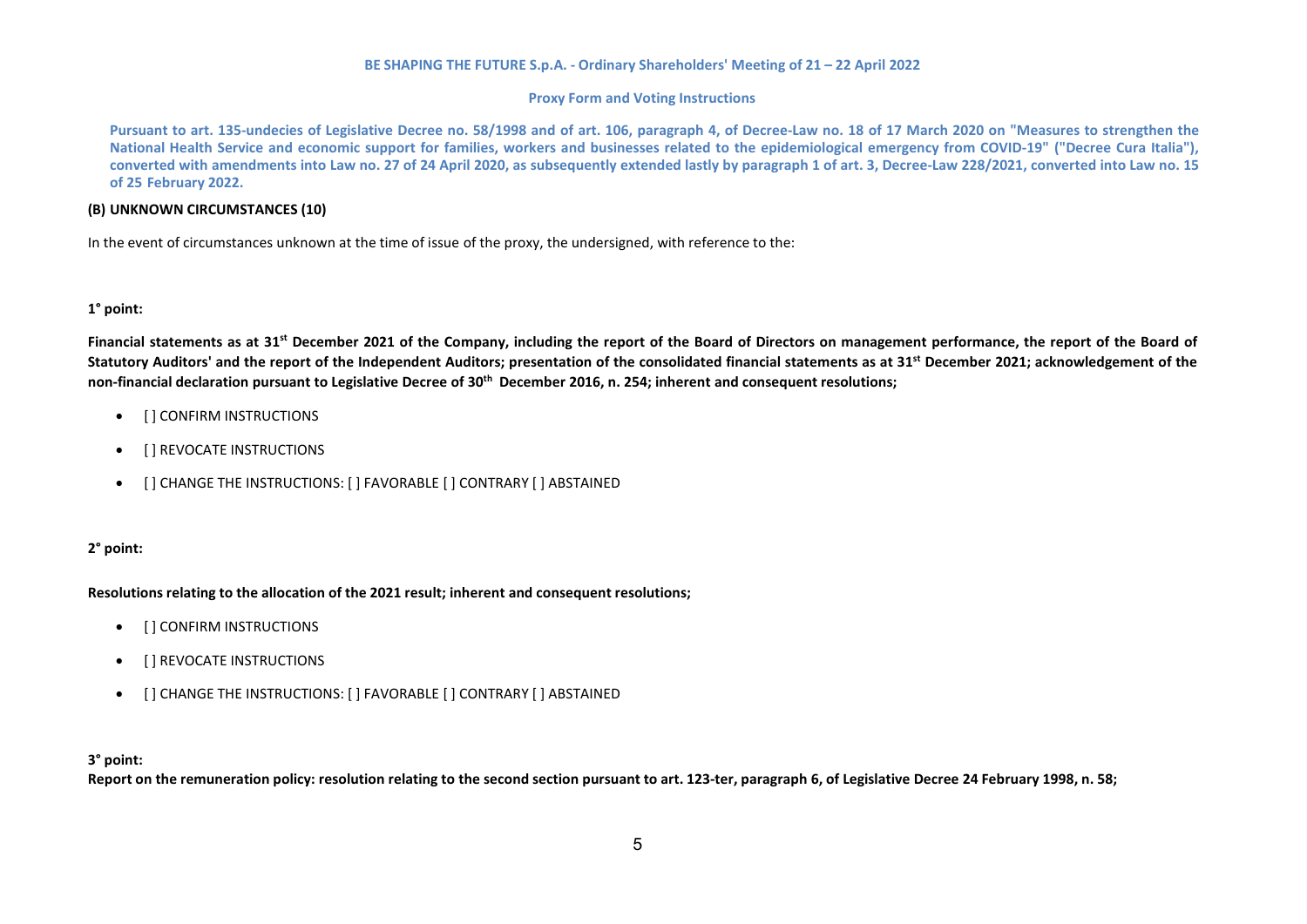## **Proxy Form and Voting Instructions**

Pursuant to art. 135-undecies of Legislative Decree no. 58/1998 and of art. 106, paragraph 4, of Decree-Law no. 18 of 17 March 2020 on "Measures to strengthen the **National Health Service and economic support for families, workers and businesses related to the epidemiological emergency from COVID-19" ("Decree Cura Italia"), converted with amendments into Law no. 27 of 24 April 2020, as subsequently extended lastly by paragraph 1 of art. 3, Decree-Law 228/2021, converted into Law no. 15 of 25 February 2022.**

## **(B) UNKNOWN CIRCUMSTANCES (10)**

In the event of circumstances unknown at the time of issue of the proxy, the undersigned, with reference to the:

## **1° point:**

**Financial statements as at 31st December 2021 of the Company, including the report of the Board of Directors on management performance, the report of the Board of Statutory Auditors' and the report of the Independent Auditors; presentation of the consolidated financial statements as at 31st December 2021; acknowledgement of the** non-financial declaration pursuant to Legislative Decree of 30<sup>th</sup> December 2016, n. 254; inherent and consequent resolutions;

- **•** [ ] CONFIRM INSTRUCTIONS
- [ ] REVOCATE INSTRUCTIONS
- [ ] CHANGE THE INSTRUCTIONS: [ ] FAVORABLE [ ] CONTRARY [ ] ABSTAINED

# **2° point:**

## **Resolutions relating to the allocation of the 2021 result; inherent and consequent resolutions;**

- [ ] CONFIRM INSTRUCTIONS
- [ ] REVOCATE INSTRUCTIONS
- [ ] CHANGE THE INSTRUCTIONS: [ ] FAVORABLE [ ] CONTRARY [ ] ABSTAINED

## **3° point:**

Report on the remuneration policy: resolution relating to the second section pursuant to art. 123-ter, paragraph 6, of Legislative Decree 24 February 1998, n. 58;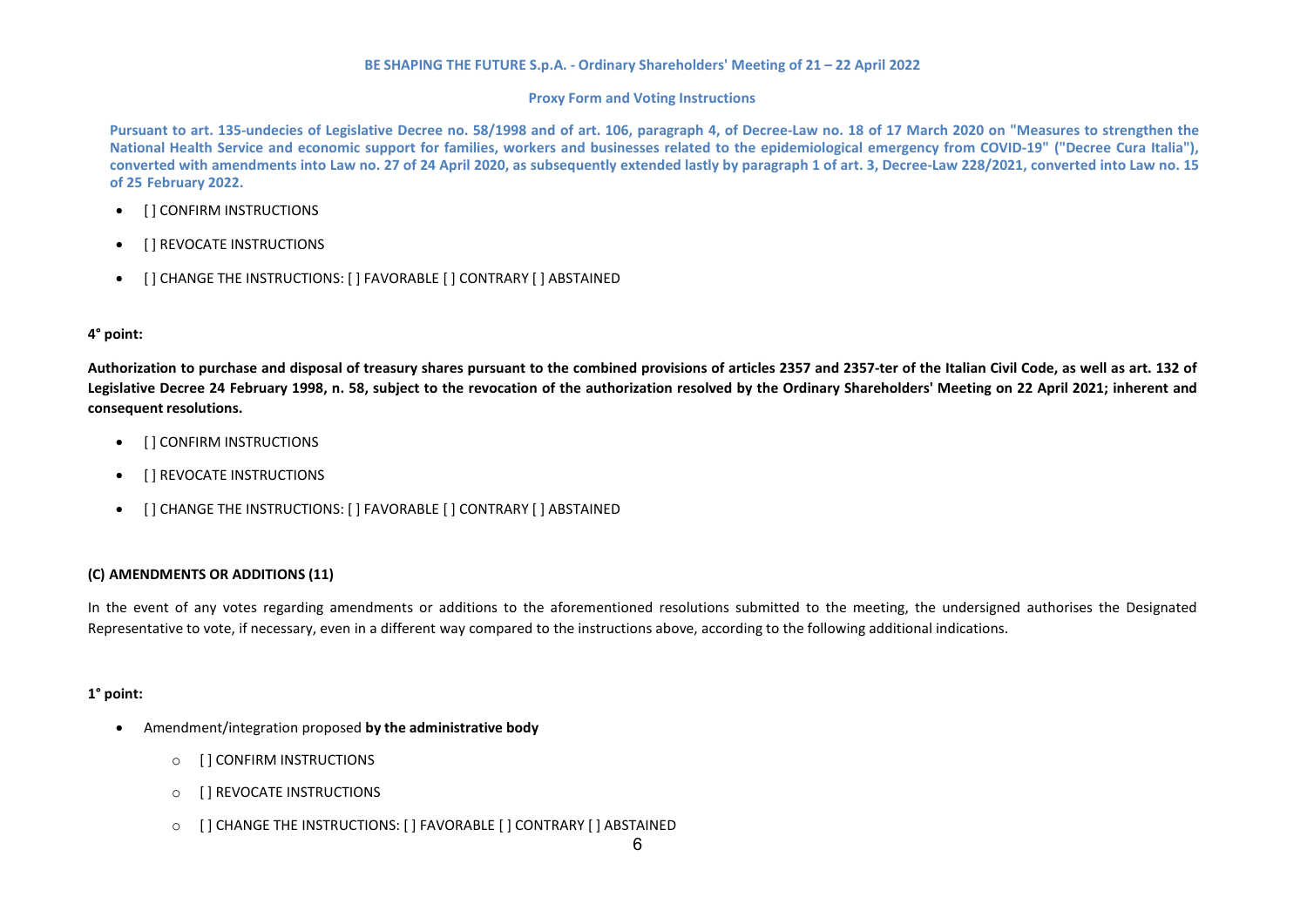## **Proxy Form and Voting Instructions**

Pursuant to art. 135-undecies of Legislative Decree no. 58/1998 and of art. 106, paragraph 4, of Decree-Law no. 18 of 17 March 2020 on "Measures to strengthen the **National Health Service and economic support for families, workers and businesses related to the epidemiological emergency from COVID-19" ("Decree Cura Italia"), converted with amendments into Law no. 27 of 24 April 2020, as subsequently extended lastly by paragraph 1 of art. 3, Decree-Law 228/2021, converted into Law no. 15 of 25 February 2022.**

- [ ] CONFIRM INSTRUCTIONS
- [ ] REVOCATE INSTRUCTIONS
- [ ] CHANGE THE INSTRUCTIONS: [ ] FAVORABLE [ ] CONTRARY [ ] ABSTAINED

# **4° point:**

**Authorization to purchase and disposal of treasury shares pursuant to the combined provisions of articles 2357 and 2357-ter of the Italian Civil Code, as well as art. 132 of Legislative Decree 24 February 1998, n. 58, subject to the revocation of the authorization resolved by the Ordinary Shareholders' Meeting on 22 April 2021; inherent and consequent resolutions.**

- [ ] CONFIRM INSTRUCTIONS
- [ ] REVOCATE INSTRUCTIONS
- [ ] CHANGE THE INSTRUCTIONS: [ ] FAVORABLE [ ] CONTRARY [ ] ABSTAINED

# **(C) AMENDMENTS OR ADDITIONS (11)**

In the event of any votes regarding amendments or additions to the aforementioned resolutions submitted to the meeting, the undersigned authorises the Designated Representative to vote, if necessary, even in a different way compared to the instructions above, according to the following additional indications.

# **1° point:**

- Amendment/integration proposed **by the administrative body**
	- o [ ] CONFIRM INSTRUCTIONS
	- o [ ] REVOCATE INSTRUCTIONS
	- o [ ] CHANGE THE INSTRUCTIONS: [ ] FAVORABLE [ ] CONTRARY [ ] ABSTAINED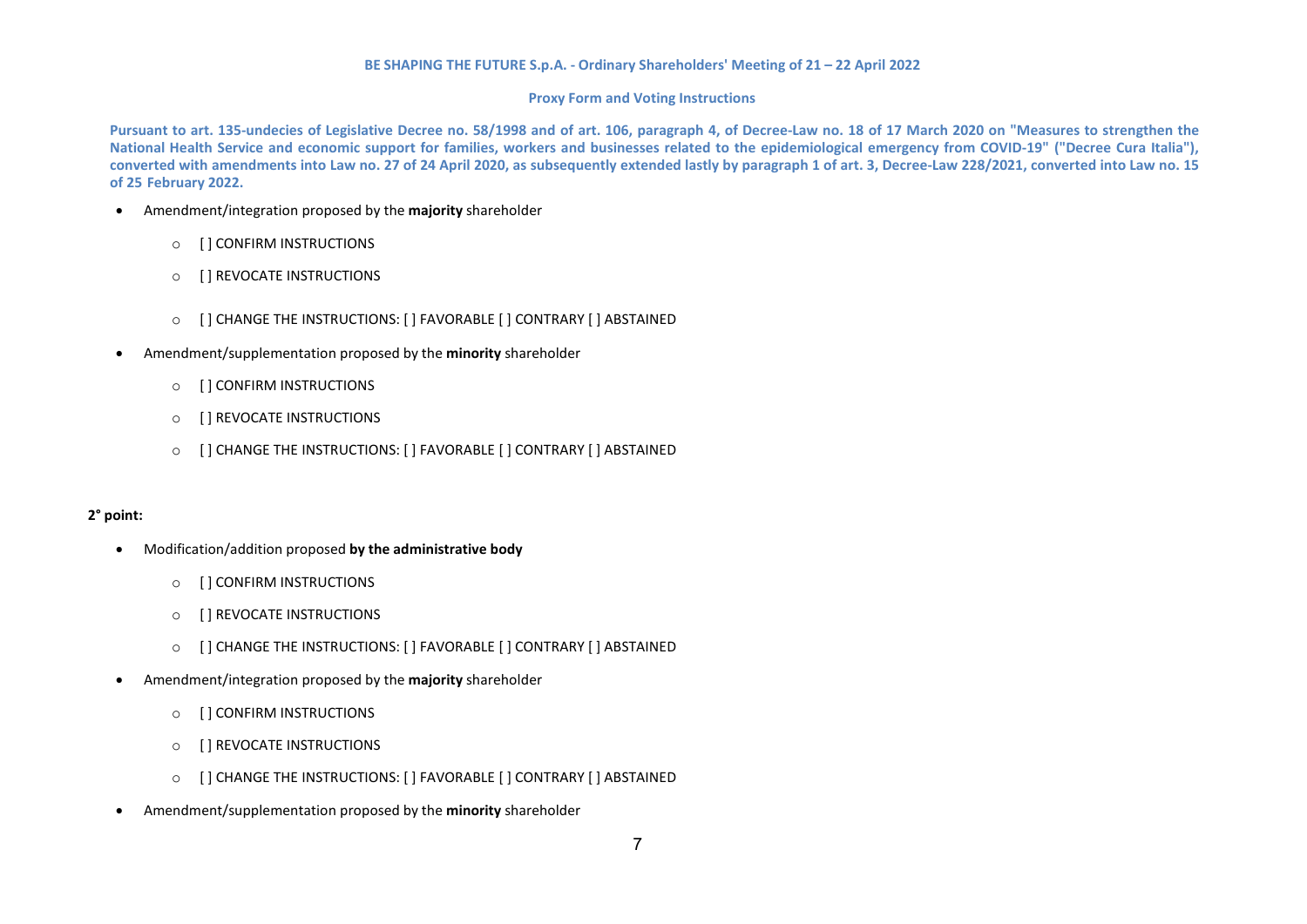### **Proxy Form and Voting Instructions**

Pursuant to art. 135-undecies of Legislative Decree no. 58/1998 and of art. 106, paragraph 4, of Decree-Law no. 18 of 17 March 2020 on "Measures to strengthen the **National Health Service and economic support for families, workers and businesses related to the epidemiological emergency from COVID-19" ("Decree Cura Italia"), converted with amendments into Law no. 27 of 24 April 2020, as subsequently extended lastly by paragraph 1 of art. 3, Decree-Law 228/2021, converted into Law no. 15 of 25 February 2022.**

- Amendment/integration proposed by the **majority** shareholder
	- o [ ] CONFIRM INSTRUCTIONS
	- o [ ] REVOCATE INSTRUCTIONS
	- o [ ] CHANGE THE INSTRUCTIONS: [ ] FAVORABLE [ ] CONTRARY [ ] ABSTAINED
- Amendment/supplementation proposed by the **minority** shareholder
	- o [ ] CONFIRM INSTRUCTIONS
	- o [ ] REVOCATE INSTRUCTIONS
	- o [ ] CHANGE THE INSTRUCTIONS: [ ] FAVORABLE [ ] CONTRARY [ ] ABSTAINED

## **2° point:**

- Modification/addition proposed **by the administrative body**
	- o [ ] CONFIRM INSTRUCTIONS
	- o [ ] REVOCATE INSTRUCTIONS
	- o [ ] CHANGE THE INSTRUCTIONS: [ ] FAVORABLE [ ] CONTRARY [ ] ABSTAINED
- Amendment/integration proposed by the **majority** shareholder
	- o [ ] CONFIRM INSTRUCTIONS
	- o [ ] REVOCATE INSTRUCTIONS
	- o [ ] CHANGE THE INSTRUCTIONS: [ ] FAVORABLE [ ] CONTRARY [ ] ABSTAINED
- Amendment/supplementation proposed by the **minority** shareholder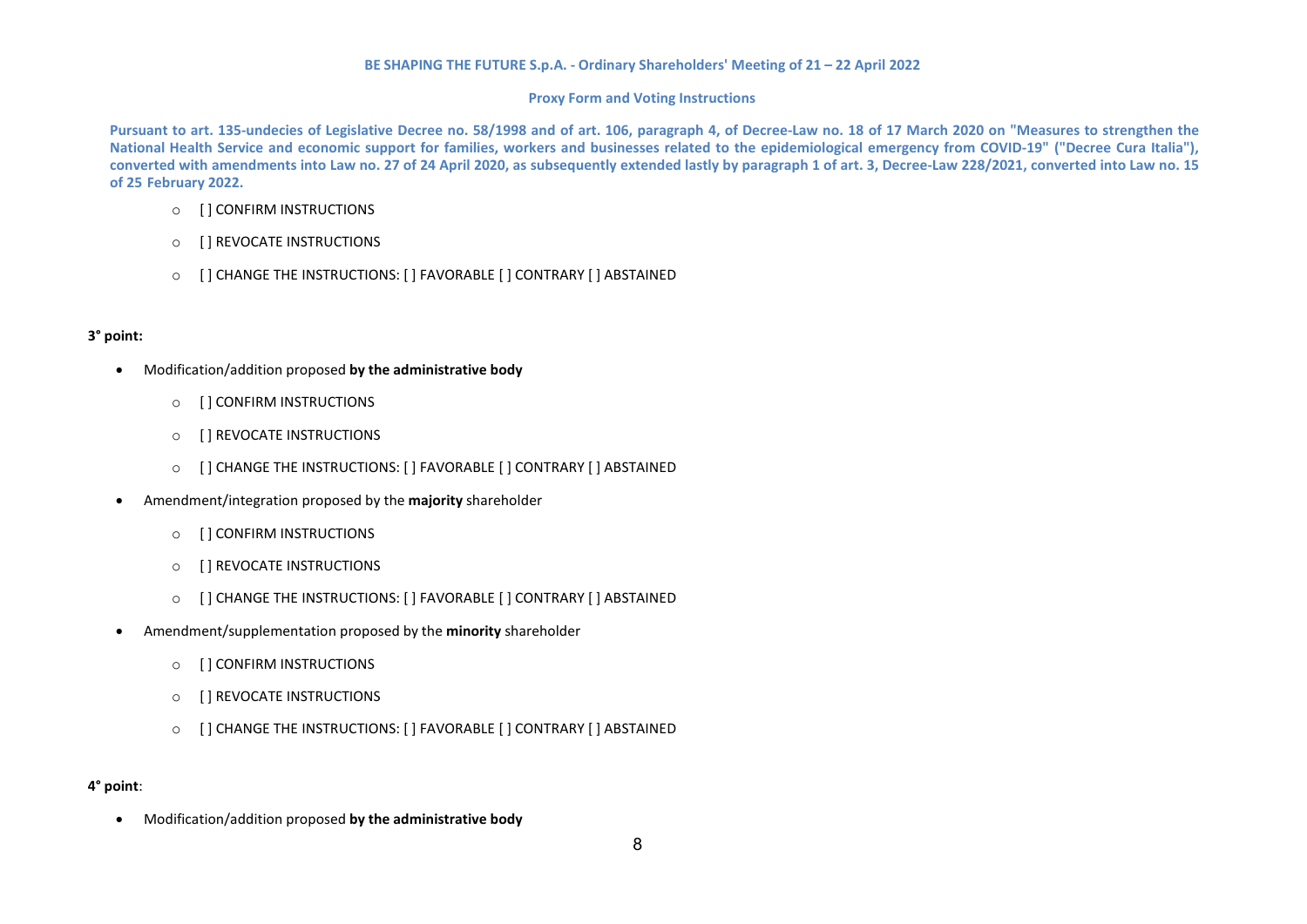## **Proxy Form and Voting Instructions**

Pursuant to art. 135-undecies of Legislative Decree no. 58/1998 and of art. 106, paragraph 4, of Decree-Law no. 18 of 17 March 2020 on "Measures to strengthen the **National Health Service and economic support for families, workers and businesses related to the epidemiological emergency from COVID-19" ("Decree Cura Italia"), converted with amendments into Law no. 27 of 24 April 2020, as subsequently extended lastly by paragraph 1 of art. 3, Decree-Law 228/2021, converted into Law no. 15 of 25 February 2022.**

- o [ ] CONFIRM INSTRUCTIONS
- o [ ] REVOCATE INSTRUCTIONS
- o [ ] CHANGE THE INSTRUCTIONS: [ ] FAVORABLE [ ] CONTRARY [ ] ABSTAINED

# **3° point:**

- Modification/addition proposed **by the administrative body**
	- o [ ] CONFIRM INSTRUCTIONS
	- o [ ] REVOCATE INSTRUCTIONS
	- o [ ] CHANGE THE INSTRUCTIONS: [ ] FAVORABLE [ ] CONTRARY [ ] ABSTAINED
- Amendment/integration proposed by the **majority** shareholder
	- o [ ] CONFIRM INSTRUCTIONS
	- o [ ] REVOCATE INSTRUCTIONS
	- o [ ] CHANGE THE INSTRUCTIONS: [ ] FAVORABLE [ ] CONTRARY [ ] ABSTAINED
- Amendment/supplementation proposed by the **minority** shareholder
	- o [ ] CONFIRM INSTRUCTIONS
	- o [ ] REVOCATE INSTRUCTIONS
	- o [ ] CHANGE THE INSTRUCTIONS: [ ] FAVORABLE [ ] CONTRARY [ ] ABSTAINED

# **4° point**:

• Modification/addition proposed **by the administrative body**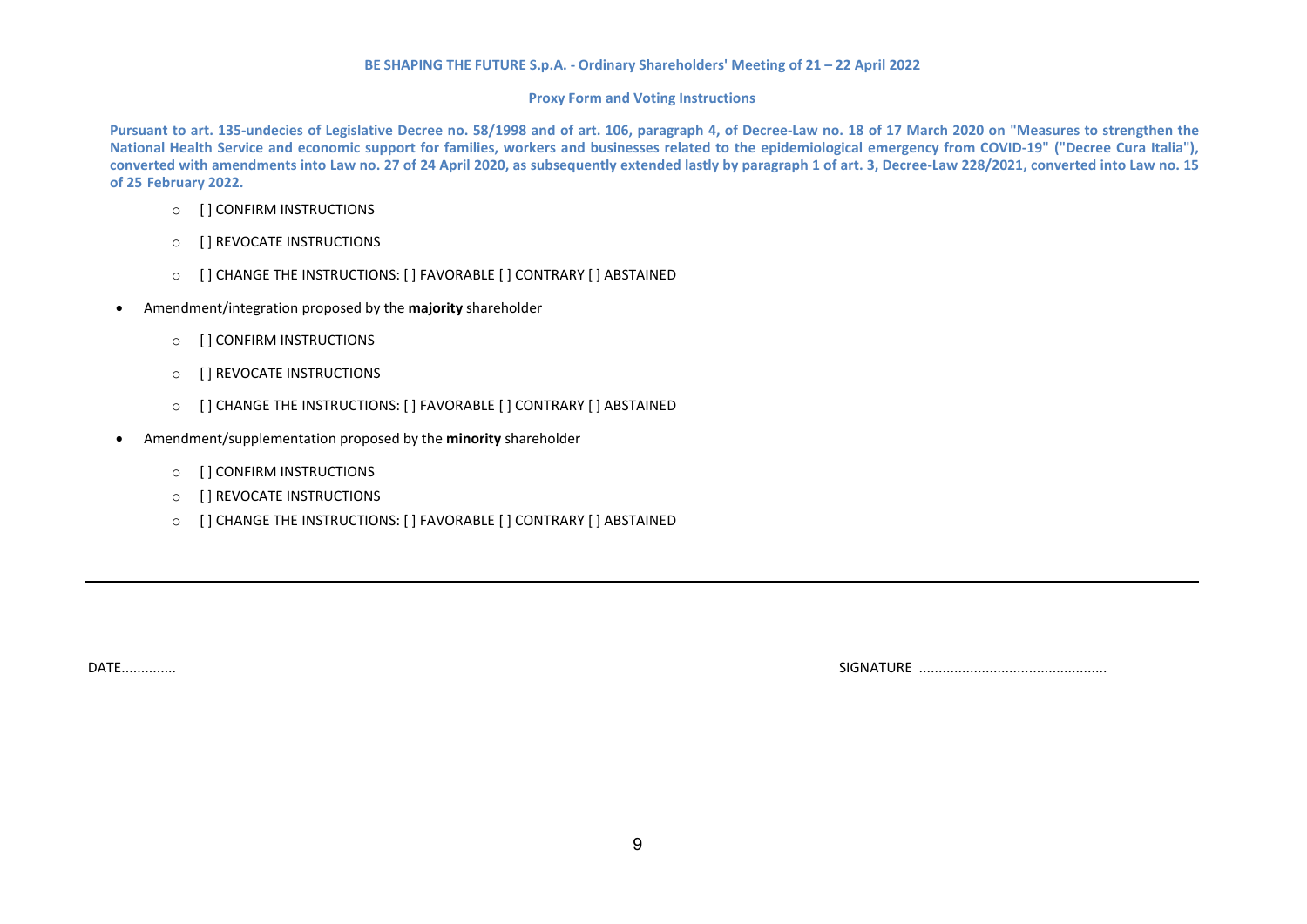## **Proxy Form and Voting Instructions**

Pursuant to art. 135-undecies of Legislative Decree no. 58/1998 and of art. 106, paragraph 4, of Decree-Law no. 18 of 17 March 2020 on "Measures to strengthen the **National Health Service and economic support for families, workers and businesses related to the epidemiological emergency from COVID-19" ("Decree Cura Italia"), converted with amendments into Law no. 27 of 24 April 2020, as subsequently extended lastly by paragraph 1 of art. 3, Decree-Law 228/2021, converted into Law no. 15 of 25 February 2022.**

- o [ ] CONFIRM INSTRUCTIONS
- o [ ] REVOCATE INSTRUCTIONS
- o [ ] CHANGE THE INSTRUCTIONS: [ ] FAVORABLE [ ] CONTRARY [ ] ABSTAINED
- Amendment/integration proposed by the **majority** shareholder
	- o [ ] CONFIRM INSTRUCTIONS
	- o [ ] REVOCATE INSTRUCTIONS
	- o [ ] CHANGE THE INSTRUCTIONS: [ ] FAVORABLE [ ] CONTRARY [ ] ABSTAINED
- Amendment/supplementation proposed by the **minority** shareholder
	- o [ ] CONFIRM INSTRUCTIONS
	- o [ ] REVOCATE INSTRUCTIONS
	- o [ ] CHANGE THE INSTRUCTIONS: [ ] FAVORABLE [ ] CONTRARY [ ] ABSTAINED

DATE.............. SIGNATURE ................................................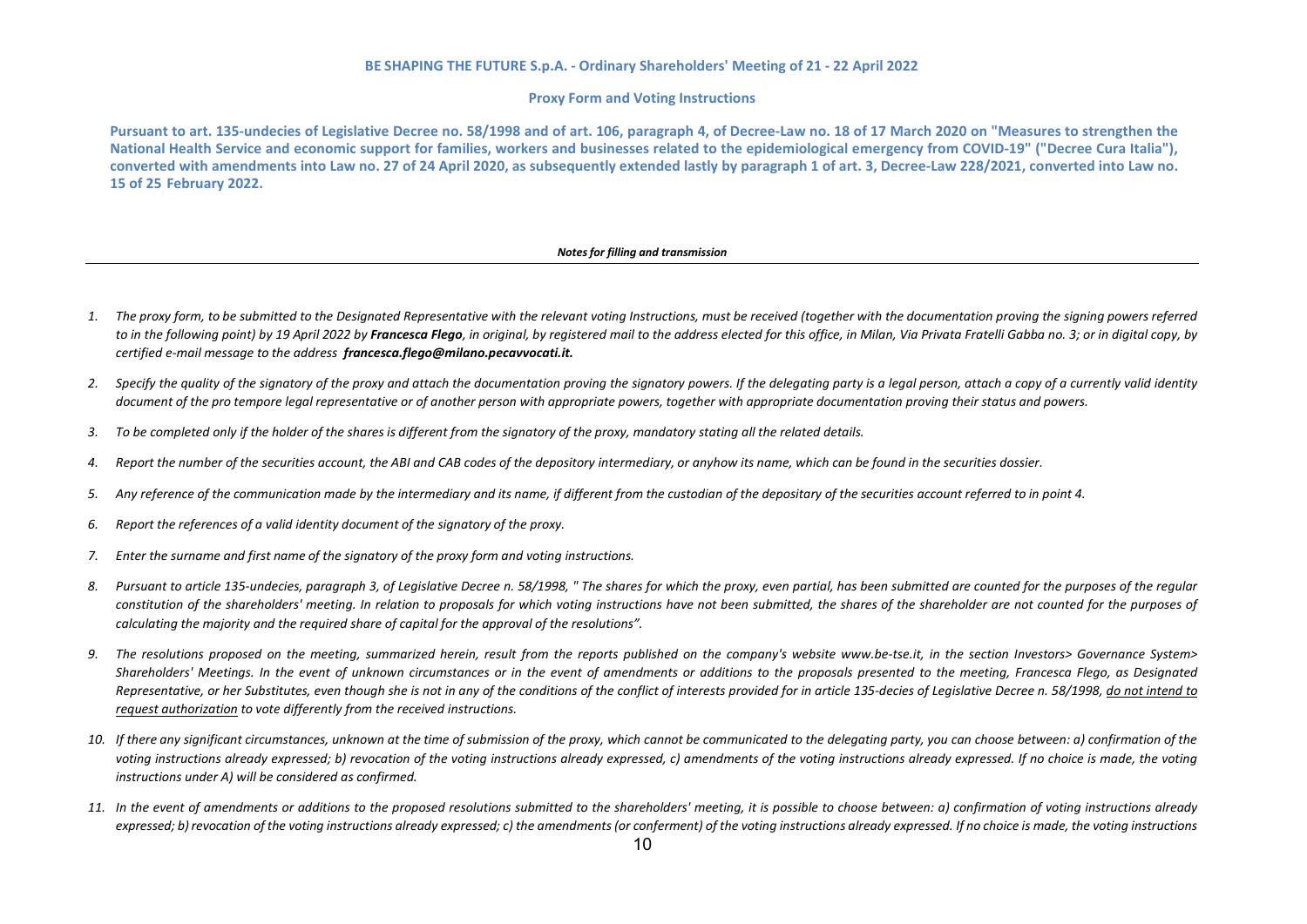#### **Proxy Form and Voting Instructions**

Pursuant to art. 135-undecies of Legislative Decree no. 58/1998 and of art. 106. paragraph 4. of Decree-Law no. 18 of 17 March 2020 on "Measures to strengthen the **National Health Service and economic support for families, workers and businesses related to the epidemiological emergency from COVID-19" ("Decree Cura Italia"), converted with amendments into Law no. 27 of 24 April 2020, as subsequently extended lastly by paragraph 1 of art. 3, Decree-Law 228/2021, converted into Law no. 15 of 25 February 2022.**

#### *Notesfor filling and transmission*

- 1. The proxy form, to be submitted to the Designated Representative with the relevant voting Instructions, must be received (together with the documentation proving the signing powers referred to in the following point) by 19 April 2022 by Francesca Flego, in original, by registered mail to the address elected for this office, in Milan, Via Privata Fratelli Gabba no. 3; or in digital copy, by *certified e-mail message to the address [francesca.flego@milano.pecavvocati.it.](mailto:francesca.flego@milano.pecavvocati.it)*
- *2. Specify the quality of the signatory of the proxy and attach the documentation proving the signatory powers. If the delegating party is a legal person, attach a copy of a currently valid identity* document of the pro tempore legal representative or of another person with appropriate powers, together with appropriate documentation proving their status and powers.
- 3. To be completed only if the holder of the shares is different from the signatory of the proxy, mandatory stating all the related details.
- 4. Report the number of the securities account, the ABI and CAB codes of the depository intermediary, or anyhow its name, which can be found in the securities dossier.
- 5. Any reference of the communication made by the intermediary and its name, if different from the custodian of the depositary of the securities account referred to in point 4.
- *6. Report the references of a valid identity document of the signatory of the proxy.*
- *7. Enter the surname and first name of the signatory of the proxy form and voting instructions.*
- *8. Pursuant to article 135-undecies, paragraph 3, of Legislative Decree n. 58/1998, " The shares for which the proxy, even partial, has been submitted are counted for the purposes of the regular constitution of the shareholders' meeting. In relation to proposals for which voting instructions have not been submitted, the shares of the shareholder are not counted for the purposes of calculating the majority and the required share of capital for the approval of the resolutions".*
- *9. The resolutions proposed on the meeting, summarized herein, result from the reports published on the company's website [www.be-tse.it,](http://www.be-tse.it/) in the section Investors> Governance System> Shareholders' Meetings. In the event of unknown circumstances or in the event of amendments or additions to the proposals presented to the meeting, Francesca Flego, as Designated Representative, or her Substitutes, even though she is not in any of the conditions of the conflict of interests provided for in article 135-decies of Legislative Decree n. 58/1998, do not intend to request authorization to vote differently from the received instructions.*
- 10. If there any significant circumstances, unknown at the time of submission of the proxy, which cannot be communicated to the delegating party, you can choose between: a) confirmation of the voting instructions already expressed; b) revocation of the voting instructions already expressed, c) amendments of the voting instructions already expressed. If no choice is made, the voting *instructions under A) will be considered as confirmed.*
- *11. In the event of amendments or additions to the proposed resolutions submitted to the shareholders' meeting, it is possible to choose between: a) confirmation of voting instructions already* expressed; b) revocation of the voting instructions already expressed; c) the amendments (or conferment) of the voting instructions already expressed. If no choice is made, the voting instructions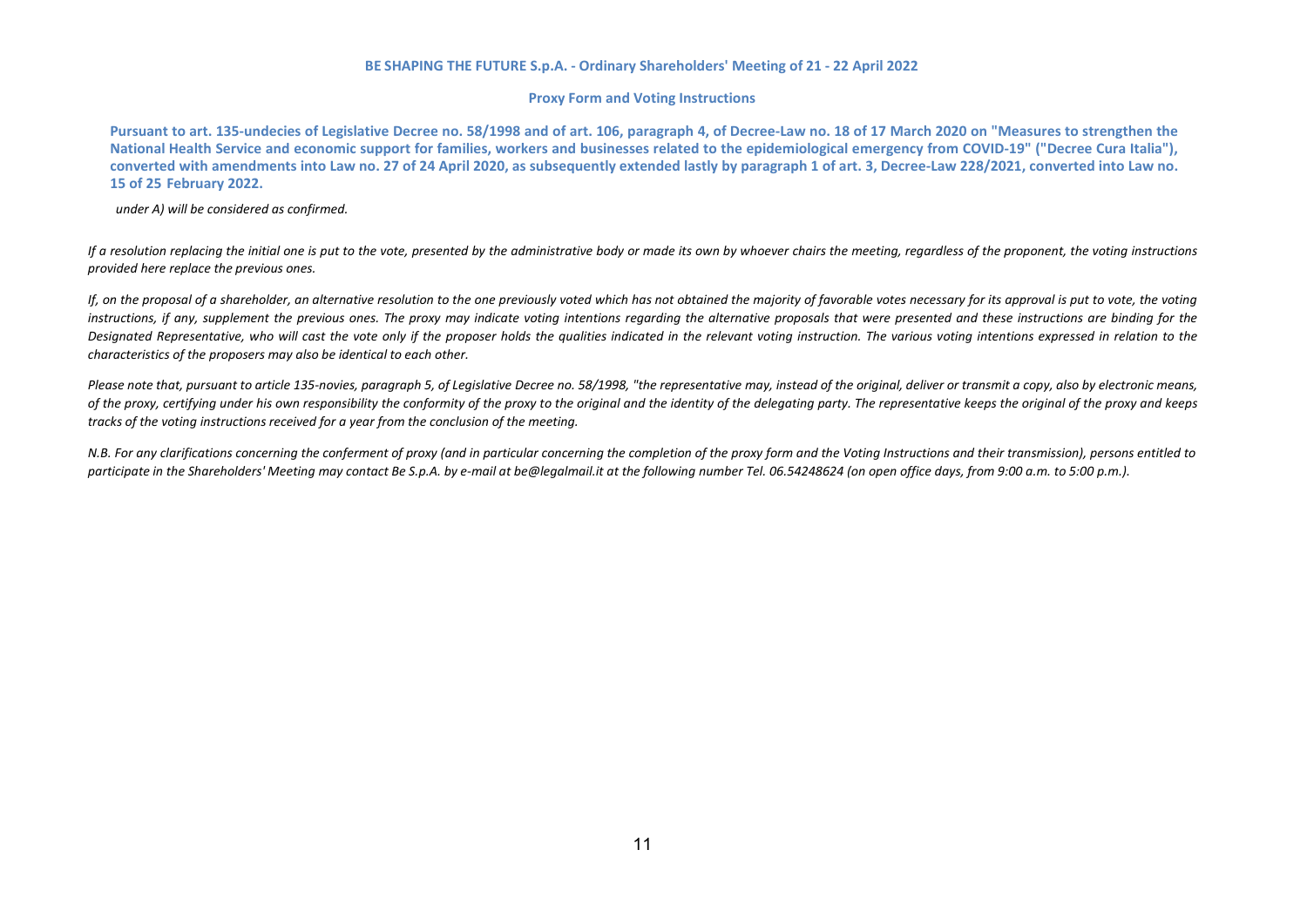### **Proxy Form and Voting Instructions**

Pursuant to art. 135-undecies of Legislative Decree no. 58/1998 and of art. 106, paragraph 4, of Decree-Law no. 18 of 17 March 2020 on "Measures to strengthen the **National Health Service and economic support for families, workers and businesses related to the epidemiological emergency from COVID-19" ("Decree Cura Italia"), converted with amendments into Law no. 27 of 24 April 2020, as subsequently extended lastly by paragraph 1 of art. 3, Decree-Law 228/2021, converted into Law no. 15 of 25 February 2022.**

*under A) will be considered as confirmed.*

*If a resolution replacing the initial one is put to the vote, presented by the administrative body or made its own by whoever chairs the meeting, regardless of the proponent, the voting instructions provided here replace the previous ones.*

*If, on the proposal of a shareholder, an alternative resolution to the one previously voted which has not obtained the majority of favorable votes necessary for its approval is put to vote, the voting instructions, if any, supplement the previous ones. The proxy may indicate voting intentions regarding the alternative proposals that were presented and these instructions are binding for the Designated Representative, who will cast the vote only if the proposer holds the qualities indicated in the relevant voting instruction. The various voting intentions expressed in relation to the characteristics of the proposers may also be identical to each other.*

Please note that, pursuant to article 135-novies, paragraph 5, of Legislative Decree no. 58/1998, "the representative may, instead of the original, deliver or transmit a copy, also by electronic means, *of the proxy, certifying under his own responsibility the conformity of the proxy to the original and the identity of the delegating party. The representative keeps the original of the proxy and keeps tracks of the voting instructions received for a year from the conclusion of the meeting.*

*N.B. For any clarifications concerning the conferment of proxy (and in particular concerning the completion of the proxy form and the Voting Instructions and their transmission), persons entitled to* participate in the Shareholders' Meeting may contact Be S.p.A. by e-mail at [be@legalmail.it](mailto:be@legalmail.it) at the following number Tel. 06.54248624 (on open office days, from 9:00 a.m. to 5:00 p.m.).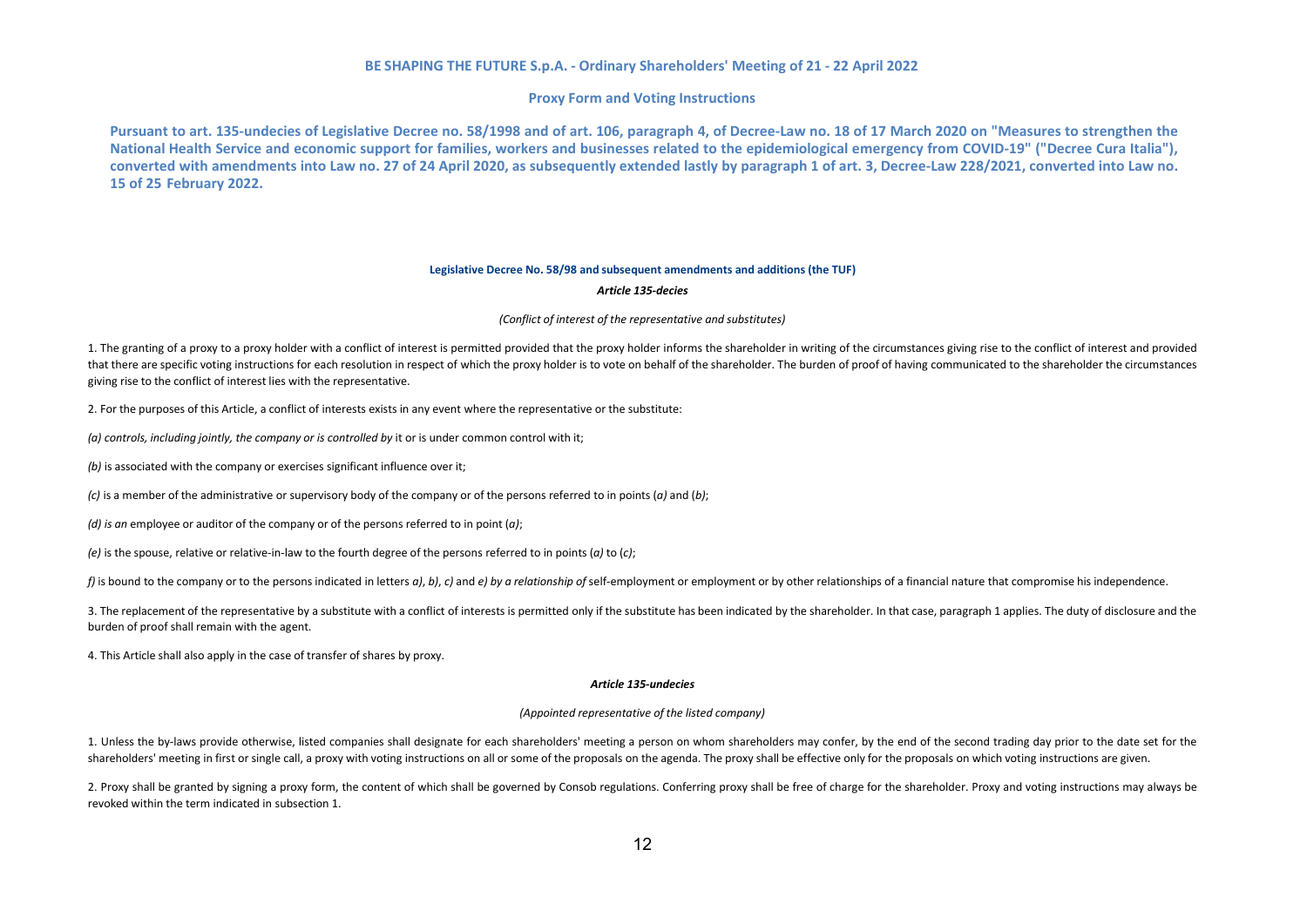#### **Proxy Form and Voting Instructions**

Pursuant to art. 135-undecies of Legislative Decree no. 58/1998 and of art. 106. paragraph 4. of Decree-Law no. 18 of 17 March 2020 on "Measures to strengthen the **National Health Service and economic support for families, workers and businesses related to the epidemiological emergency from COVID-19" ("Decree Cura Italia"), converted with amendments into Law no. 27 of 24 April 2020, as subsequently extended lastly by paragraph 1 of art. 3, Decree-Law 228/2021, converted into Law no. 15 of 25 February 2022.**

#### **Legislative Decree No. 58/98 and subsequent amendments and additions (the TUF)**

#### *Article 135-decies*

#### *(Conflict of interest of the representative and substitutes)*

1. The granting of a proxy to a proxy holder with a conflict of interest is permitted provided that the proxy holder informs the shareholder in writing of the circumstances giving rise to the conflict of interest and provi that there are specific voting instructions for each resolution in respect of which the proxy holder is to vote on behalf of the shareholder. The burden of proof of having communicated to the shareholder the circumstances giving rise to the conflict of interest lies with the representative.

2. For the purposes of this Article, a conflict of interests exists in any event where the representative or the substitute:

*(a) controls, including jointly, the company or is controlled by* it or is under common control with it;

*(b)* is associated with the company or exercises significant influence over it;

*(c)* is a member of the administrative or supervisory body of the company or of the persons referred to in points (*a)* and (*b)*;

*(d) is an* employee or auditor of the company or of the persons referred to in point (*a)*;

*(e)* is the spouse, relative or relative-in-law to the fourth degree of the persons referred to in points (*a)* to (*c)*;

f) is bound to the company or to the persons indicated in letters  $a$ , b), c) and e) by a relationship of self-employment or employment or by other relationships of a financial nature that compromise his independence.

3. The replacement of the representative by a substitute with a conflict of interests is permitted only if the substitute has been indicated by the shareholder. In that case, paragraph 1 applies. The duty of disclosure and burden of proof shall remain with the agent.

4. This Article shall also apply in the case of transfer of shares by proxy.

#### *Article 135-undecies*

#### *(Appointed representative of the listed company)*

1. Unless the by-laws provide otherwise, listed companies shall designate for each shareholders' meeting a person on whom shareholders may confer, by the end of the second trading day prior to the date set for the shareholders' meeting in first or single call, a proxy with voting instructions on all or some of the proposals on the agenda. The proxy shall be effective only for the proposals on which voting instructions are given.

2. Proxy shall be granted by signing a proxy form, the content of which shall be governed by Consob regulations. Conferring proxy shall be free of charge for the shareholder. Proxy and voting instructions may always be revoked within the term indicated in subsection 1.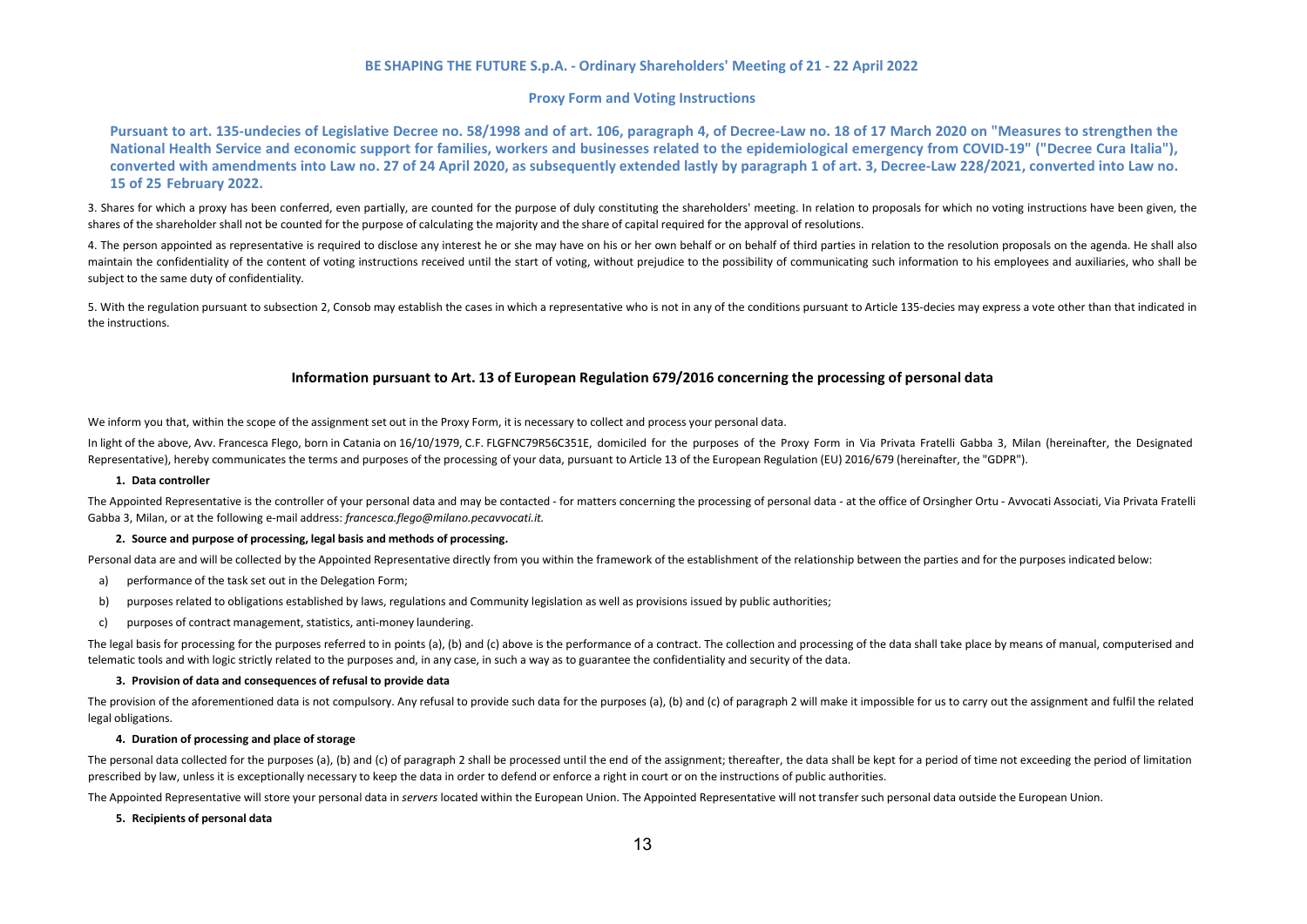#### **Proxy Form and Voting Instructions**

Pursuant to art. 135-undecies of Legislative Decree no. 58/1998 and of art. 106, paragraph 4, of Decree-Law no. 18 of 17 March 2020 on "Measures to strengthen the **National Health Service and economic support for families, workers and businesses related to the epidemiological emergency from COVID-19" ("Decree Cura Italia"), converted with amendments into Law no. 27 of 24 April 2020, as subsequently extended lastly by paragraph 1 of art. 3, Decree-Law 228/2021, converted into Law no. 15 of 25 February 2022.**

3. Shares for which a proxy has been conferred, even partially, are counted for the purpose of duly constituting the shareholders' meeting. In relation to proposals for which no voting instructions have been given, the shares of the shareholder shall not be counted for the purpose of calculating the majority and the share of capital required for the approval of resolutions.

4. The person appointed as representative is required to disclose any interest he or she may have on his or her own behalf or on behalf of third parties in relation to the resolution proposals on the agenda. He shall also maintain the confidentiality of the content of voting instructions received until the start of voting, without prejudice to the possibility of communicating such information to his employees and auxiliaries, who shall be subject to the same duty of confidentiality.

5. With the regulation pursuant to subsection 2, Consob may establish the cases in which a representative who is not in any of the conditions pursuant to Article 135-decies may express a vote other than that indicated in the instructions.

#### **Information pursuant to Art. 13 of European Regulation 679/2016 concerning the processing of personal data**

We inform you that, within the scope of the assignment set out in the Proxy Form, it is necessary to collect and process your personal data.

In light of the above, Avv. Francesca Flego, born in Catania on 16/10/1979, C.F. FLGFNC79R56C351E, domiciled for the purposes of the Proxy Form in Via Privata Fratelli Gabba 3, Milan (hereinafter, the Designated Representative), hereby communicates the terms and purposes of the processing of your data, pursuant to Article 13 of the European Regulation (EU) 2016/679 (hereinafter, the "GDPR").

#### **1. Data controller**

The Appointed Representative is the controller of your personal data and may be contacted - for matters concerning the processing of personal data - at the office of Orsingher Ortu - Avvocati Associati, Via Privata Fratelli Gabba 3, Milan, or at the following e-mail address: *[francesca.flego@milano.pecavvocati.it.](mailto:francesca.flego@milano.pecavvocati.it)*

#### **2. Source and purpose of processing, legal basis and methods of processing.**

Personal data are and will be collected by the Appointed Representative directly from you within the framework of the establishment of the relationship between the parties and for the purposes indicated below:

- a) performance of the task set out in the Delegation Form;
- b) purposes related to obligations established by laws, regulations and Community legislation as well as provisions issued by public authorities;
- c) purposes of contract management, statistics, anti-money laundering.

The legal basis for processing for the purposes referred to in points (a), (b) and (c) above is the performance of a contract. The collection and processing of the data shall take place by means of manual, computerised and telematic tools and with logic strictly related to the purposes and, in any case, in such a way as to guarantee the confidentiality and security of the data.

#### **3. Provision of data and consequences of refusal to provide data**

The provision of the aforementioned data is not compulsory. Any refusal to provide such data for the purposes (a), (b) and (c) of paragraph 2 will make it impossible for us to carry out the assignment and fulfil the relate legal obligations.

#### **4. Duration of processing and place of storage**

The personal data collected for the purposes (a), (b) and (c) of paragraph 2 shall be processed until the end of the assignment; thereafter, the data shall be kept for a period of time not exceeding the period of limitatio prescribed by law, unless it is exceptionally necessary to keep the data in order to defend or enforce a right in court or on the instructions of public authorities.

The Appointed Representative will store your personal data in *servers* located within the European Union. The Appointed Representative will not transfer such personal data outside the European Union.

#### **5. Recipients of personal data**